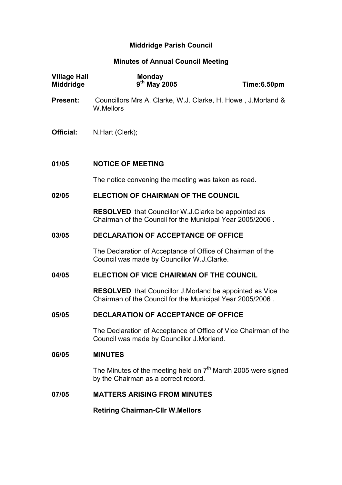# Middridge Parish Council

# Minutes of Annual Council Meeting

| <b>Village Hall</b><br><b>Middridge</b> | Monday<br>9 <sup>th</sup> May 2005                                                                                          | Time:6.50pm |  |
|-----------------------------------------|-----------------------------------------------------------------------------------------------------------------------------|-------------|--|
| <b>Present:</b>                         | Councillors Mrs A. Clarke, W.J. Clarke, H. Howe, J. Morland &<br>W.Mellors                                                  |             |  |
| Official:                               | N.Hart (Clerk);                                                                                                             |             |  |
| 01/05                                   | <b>NOTICE OF MEETING</b>                                                                                                    |             |  |
|                                         | The notice convening the meeting was taken as read.                                                                         |             |  |
| 02/05                                   | <b>ELECTION OF CHAIRMAN OF THE COUNCIL</b>                                                                                  |             |  |
|                                         | <b>RESOLVED</b> that Councillor W.J.Clarke be appointed as<br>Chairman of the Council for the Municipal Year 2005/2006.     |             |  |
| 03/05                                   | <b>DECLARATION OF ACCEPTANCE OF OFFICE</b>                                                                                  |             |  |
|                                         | The Declaration of Acceptance of Office of Chairman of the<br>Council was made by Councillor W.J.Clarke.                    |             |  |
| 04/05                                   | ELECTION OF VICE CHAIRMAN OF THE COUNCIL                                                                                    |             |  |
|                                         | <b>RESOLVED</b> that Councillor J.Morland be appointed as Vice<br>Chairman of the Council for the Municipal Year 2005/2006. |             |  |
| 05/05                                   | <b>DECLARATION OF ACCEPTANCE OF OFFICE</b>                                                                                  |             |  |
|                                         | The Declaration of Acceptance of Office of Vice Chairman of the<br>Council was made by Councillor J.Morland.                |             |  |
| 06/05                                   | <b>MINUTES</b>                                                                                                              |             |  |
|                                         | The Minutes of the meeting held on $7th$ March 2005 were signed<br>by the Chairman as a correct record.                     |             |  |
| 07/05                                   | <b>MATTERS ARISING FROM MINUTES</b>                                                                                         |             |  |
|                                         | <b>Retiring Chairman-Cllr W.Mellors</b>                                                                                     |             |  |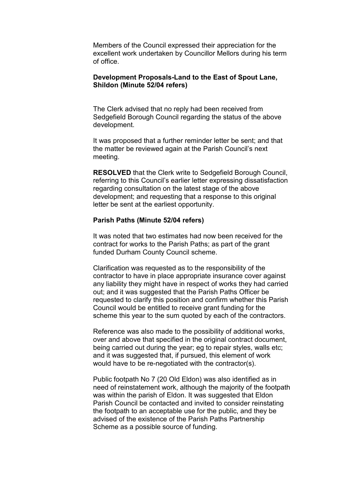Members of the Council expressed their appreciation for the excellent work undertaken by Councillor Mellors during his term of office.

#### Development Proposals-Land to the East of Spout Lane, Shildon (Minute 52/04 refers)

The Clerk advised that no reply had been received from Sedgefield Borough Council regarding the status of the above development.

It was proposed that a further reminder letter be sent; and that the matter be reviewed again at the Parish Council's next meeting.

RESOLVED that the Clerk write to Sedgefield Borough Council, referring to this Council's earlier letter expressing dissatisfaction regarding consultation on the latest stage of the above development; and requesting that a response to this original letter be sent at the earliest opportunity.

#### Parish Paths (Minute 52/04 refers)

It was noted that two estimates had now been received for the contract for works to the Parish Paths; as part of the grant funded Durham County Council scheme.

Clarification was requested as to the responsibility of the contractor to have in place appropriate insurance cover against any liability they might have in respect of works they had carried out; and it was suggested that the Parish Paths Officer be requested to clarify this position and confirm whether this Parish Council would be entitled to receive grant funding for the scheme this year to the sum quoted by each of the contractors.

Reference was also made to the possibility of additional works, over and above that specified in the original contract document, being carried out during the year; eg to repair styles, walls etc; and it was suggested that, if pursued, this element of work would have to be re-negotiated with the contractor(s).

Public footpath No 7 (20 Old Eldon) was also identified as in need of reinstatement work, although the majority of the footpath was within the parish of Eldon. It was suggested that Eldon Parish Council be contacted and invited to consider reinstating the footpath to an acceptable use for the public, and they be advised of the existence of the Parish Paths Partnership Scheme as a possible source of funding.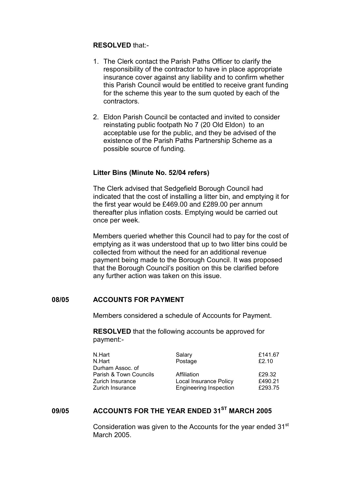#### RESOLVED that:-

- 1. The Clerk contact the Parish Paths Officer to clarify the responsibility of the contractor to have in place appropriate insurance cover against any liability and to confirm whether this Parish Council would be entitled to receive grant funding for the scheme this year to the sum quoted by each of the contractors.
- 2. Eldon Parish Council be contacted and invited to consider reinstating public footpath No 7 (20 Old Eldon) to an acceptable use for the public, and they be advised of the existence of the Parish Paths Partnership Scheme as a possible source of funding.

#### Litter Bins (Minute No. 52/04 refers)

The Clerk advised that Sedgefield Borough Council had indicated that the cost of installing a litter bin, and emptying it for the first year would be £469.00 and £289.00 per annum thereafter plus inflation costs. Emptying would be carried out once per week.

Members queried whether this Council had to pay for the cost of emptying as it was understood that up to two litter bins could be collected from without the need for an additional revenue payment being made to the Borough Council. It was proposed that the Borough Council's position on this be clarified before any further action was taken on this issue.

#### 08/05 ACCOUNTS FOR PAYMENT

Members considered a schedule of Accounts for Payment.

 RESOLVED that the following accounts be approved for payment:-

| N.Hart                 | Salary                        | £141.67 |
|------------------------|-------------------------------|---------|
| N.Hart                 | Postage                       | £2.10   |
| Durham Assoc. of       |                               |         |
| Parish & Town Councils | Affiliation                   | £29.32  |
| Zurich Insurance       | Local Insurance Policy        | £490.21 |
| Zurich Insurance       | <b>Engineering Inspection</b> | £293.75 |
|                        |                               |         |

# 09/05 ACCOUNTS FOR THE YEAR ENDED 31<sup>ST</sup> MARCH 2005

Consideration was given to the Accounts for the year ended 31<sup>st</sup> March 2005.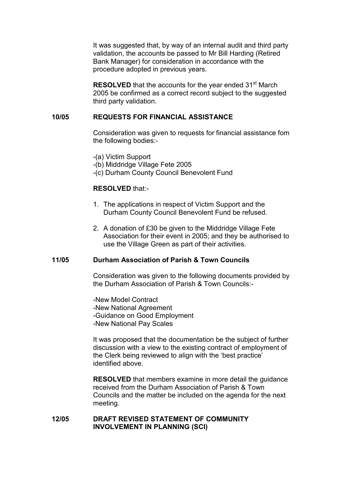It was suggested that, by way of an internal audit and third party validation, the accounts be passed to Mr Bill Harding (Retired Bank Manager) for consideration in accordance with the procedure adopted in previous years.

**RESOLVED** that the accounts for the year ended 31<sup>st</sup> March 2005 be confirmed as a correct record subject to the suggested third party validation.

#### 10/05 REQUESTS FOR FINANCIAL ASSISTANCE

Consideration was given to requests for financial assistance fom the following bodies:-

-(a) Victim Support

- -(b) Middridge Village Fete 2005
- -(c) Durham County Council Benevolent Fund

### RESOLVED that:-

- 1. The applications in respect of Victim Support and the Durham County Council Benevolent Fund be refused.
- 2. A donation of £30 be given to the Middridge Village Fete Association for their event in 2005; and they be authorised to use the Village Green as part of their activities.

### 11/05 Durham Association of Parish & Town Councils

Consideration was given to the following documents provided by the Durham Association of Parish & Town Councils:-

 -New Model Contract -New National Agreement -Guidance on Good Employment -New National Pay Scales

 It was proposed that the documentation be the subject of further discussion with a view to the existing contract of employment of the Clerk being reviewed to align with the 'best practice' identified above.

RESOLVED that members examine in more detail the guidance received from the Durham Association of Parish & Town Councils and the matter be included on the agenda for the next meeting.

# 12/05 DRAFT REVISED STATEMENT OF COMMUNITY INVOLVEMENT IN PLANNING (SCI)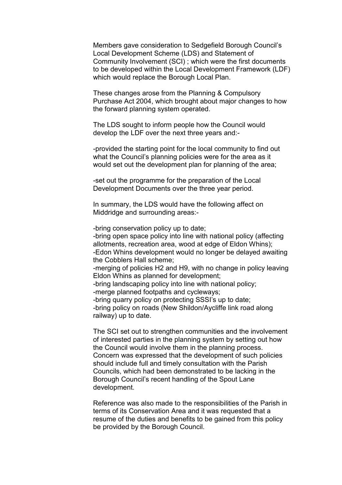Members gave consideration to Sedgefield Borough Council's Local Development Scheme (LDS) and Statement of Community Involvement (SCI) ; which were the first documents to be developed within the Local Development Framework (LDF) which would replace the Borough Local Plan.

 These changes arose from the Planning & Compulsory Purchase Act 2004, which brought about major changes to how the forward planning system operated.

 The LDS sought to inform people how the Council would develop the LDF over the next three years and:-

 -provided the starting point for the local community to find out what the Council's planning policies were for the area as it would set out the development plan for planning of the area;

 -set out the programme for the preparation of the Local Development Documents over the three year period.

 In summary, the LDS would have the following affect on Middridge and surrounding areas:-

-bring conservation policy up to date;

 -bring open space policy into line with national policy (affecting allotments, recreation area, wood at edge of Eldon Whins); -Edon Whins development would no longer be delayed awaiting the Cobblers Hall scheme; -merging of policies H2 and H9, with no change in policy leaving Eldon Whins as planned for development; -bring landscaping policy into line with national policy; -merge planned footpaths and cycleways; -bring quarry policy on protecting SSSI's up to date; -bring policy on roads (New Shildon/Aycliffe link road along railway) up to date.

 The SCI set out to strengthen communities and the involvement of interested parties in the planning system by setting out how the Council would involve them in the planning process. Concern was expressed that the development of such policies should include full and timely consultation with the Parish Councils, which had been demonstrated to be lacking in the Borough Council's recent handling of the Spout Lane development.

 Reference was also made to the responsibilities of the Parish in terms of its Conservation Area and it was requested that a resume of the duties and benefits to be gained from this policy be provided by the Borough Council.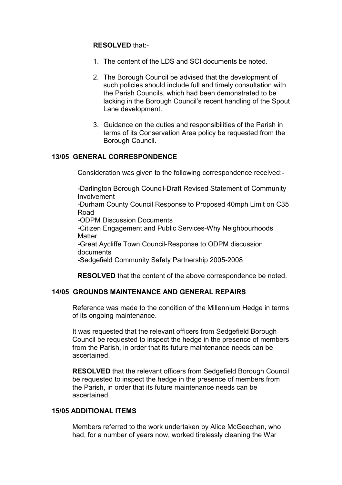# RESOLVED that:-

- 1. The content of the LDS and SCI documents be noted.
- 2. The Borough Council be advised that the development of such policies should include full and timely consultation with the Parish Councils, which had been demonstrated to be lacking in the Borough Council's recent handling of the Spout Lane development.
- 3. Guidance on the duties and responsibilities of the Parish in terms of its Conservation Area policy be requested from the Borough Council.

# 13/05 GENERAL CORRESPONDENCE

Consideration was given to the following correspondence received:-

 -Darlington Borough Council-Draft Revised Statement of Community Involvement

 -Durham County Council Response to Proposed 40mph Limit on C35 Road

-ODPM Discussion Documents

 -Citizen Engagement and Public Services-Why Neighbourhoods **Matter** 

 -Great Aycliffe Town Council-Response to ODPM discussion documents

-Sedgefield Community Safety Partnership 2005-2008

RESOLVED that the content of the above correspondence be noted.

# 14/05 GROUNDS MAINTENANCE AND GENERAL REPAIRS

Reference was made to the condition of the Millennium Hedge in terms of its ongoing maintenance.

 It was requested that the relevant officers from Sedgefield Borough Council be requested to inspect the hedge in the presence of members from the Parish, in order that its future maintenance needs can be ascertained.

RESOLVED that the relevant officers from Sedgefield Borough Council be requested to inspect the hedge in the presence of members from the Parish, in order that its future maintenance needs can be ascertained.

### 15/05 ADDITIONAL ITEMS

Members referred to the work undertaken by Alice McGeechan, who had, for a number of years now, worked tirelessly cleaning the War